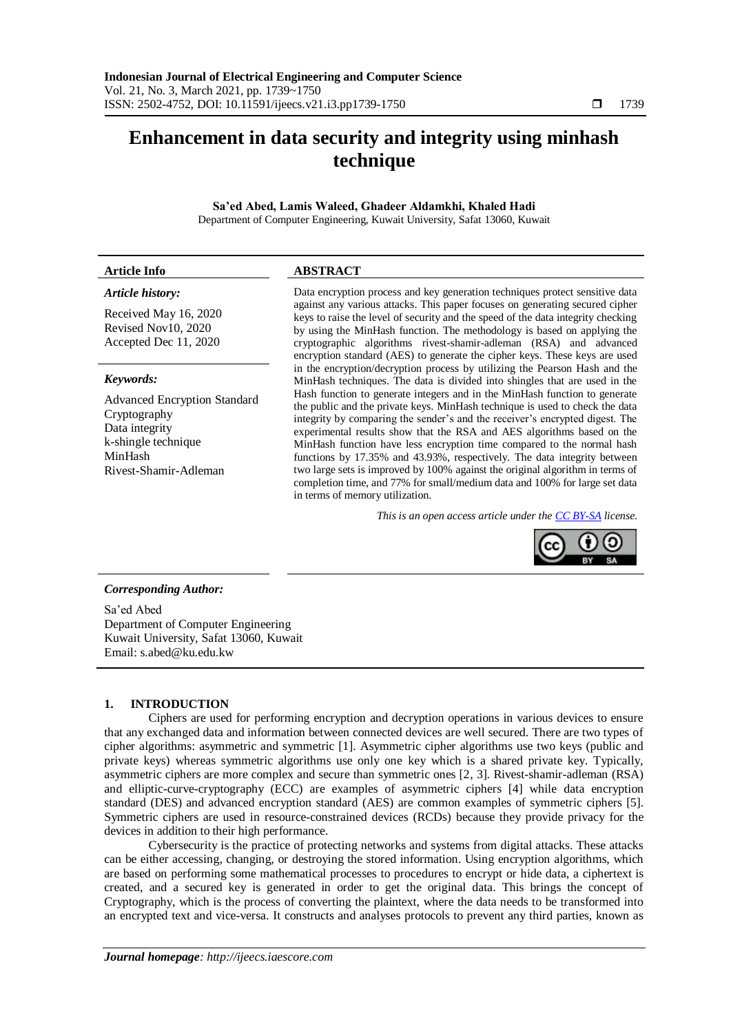# **Enhancement in data security and integrity using minhash technique**

**Sa'ed Abed, Lamis Waleed, Ghadeer Aldamkhi, Khaled Hadi** Department of Computer Engineering, Kuwait University, Safat 13060, Kuwait

### *Article history:*

Received May 16, 2020 Revised Nov10, 2020 Accepted Dec 11, 2020

#### *Keywords:*

Advanced Encryption Standard Cryptography Data integrity k-shingle technique MinHash Rivest-Shamir-Adleman

# **Article Info ABSTRACT**

Data encryption process and key generation techniques protect sensitive data against any various attacks. This paper focuses on generating secured cipher keys to raise the level of security and the speed of the data integrity checking by using the MinHash function. The methodology is based on applying the cryptographic algorithms rivest-shamir-adleman (RSA) and advanced encryption standard (AES) to generate the cipher keys. These keys are used in the encryption/decryption process by utilizing the Pearson Hash and the MinHash techniques. The data is divided into shingles that are used in the Hash function to generate integers and in the MinHash function to generate the public and the private keys. MinHash technique is used to check the data integrity by comparing the sender's and the receiver's encrypted digest. The experimental results show that the RSA and AES algorithms based on the MinHash function have less encryption time compared to the normal hash functions by 17.35% and 43.93%, respectively. The data integrity between two large sets is improved by 100% against the original algorithm in terms of completion time, and 77% for small/medium data and 100% for large set data in terms of memory utilization.

*This is an open access article under the [CC BY-SA](https://creativecommons.org/licenses/by-sa/4.0/) license.*



### *Corresponding Author:*

Sa'ed Abed Department of Computer Engineering Kuwait University, Safat 13060, Kuwait Email: [s.abed@ku.edu.kw](mailto:s.abed@ku.edu.kw)

# **1. INTRODUCTION**

Ciphers are used for performing encryption and decryption operations in various devices to ensure that any exchanged data and information between connected devices are well secured. There are two types of cipher algorithms: asymmetric and symmetric [1]. Asymmetric cipher algorithms use two keys (public and private keys) whereas symmetric algorithms use only one key which is a shared private key. Typically, asymmetric ciphers are more complex and secure than symmetric ones [2, 3]. Rivest-shamir-adleman (RSA) and elliptic-curve-cryptography (ECC) are examples of asymmetric ciphers [4] while data encryption standard (DES) and advanced encryption standard (AES) are common examples of symmetric ciphers [5]. Symmetric ciphers are used in resource-constrained devices (RCDs) because they provide privacy for the devices in addition to their high performance.

Cybersecurity is the practice of protecting networks and systems from digital attacks. These attacks can be either accessing, changing, or destroying the stored information. Using encryption algorithms, which are based on performing some mathematical processes to procedures to encrypt or hide data, a ciphertext is created, and a secured key is generated in order to get the original data. This brings the concept of Cryptography, which is the process of converting the plaintext, where the data needs to be transformed into an encrypted text and vice-versa. It constructs and analyses protocols to prevent any third parties, known as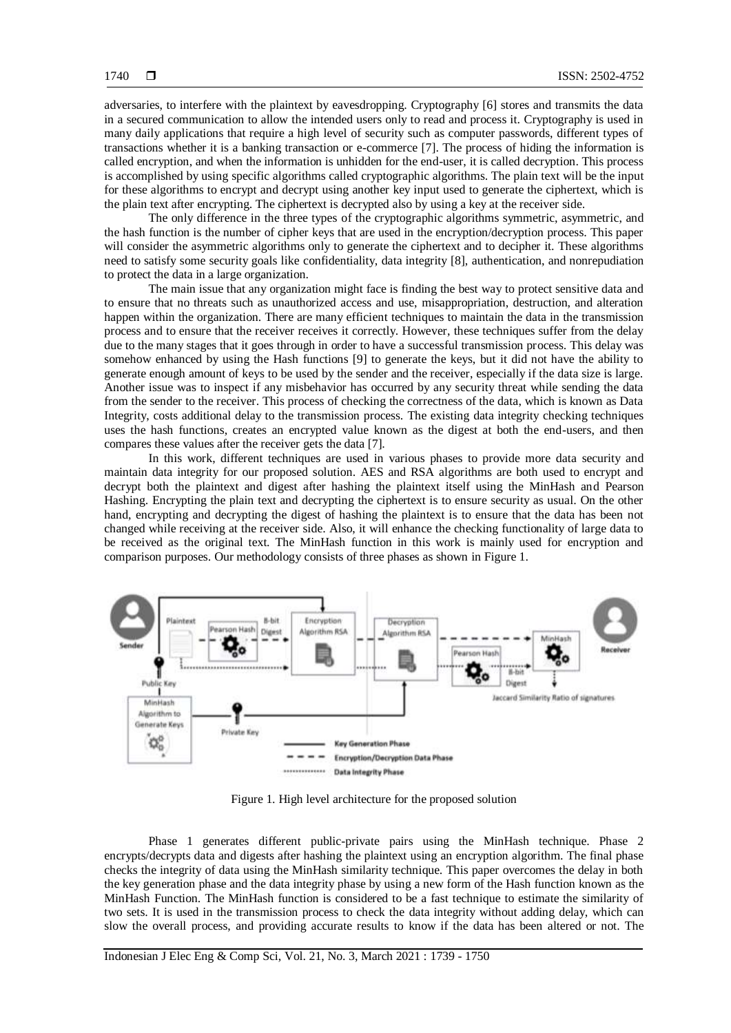adversaries, to interfere with the plaintext by eavesdropping. Cryptography [6] stores and transmits the data in a secured communication to allow the intended users only to read and process it. Cryptography is used in many daily applications that require a high level of security such as computer passwords, different types of transactions whether it is a banking transaction or e-commerce [7]. The process of hiding the information is called encryption, and when the information is unhidden for the end-user, it is called decryption. This process is accomplished by using specific algorithms called cryptographic algorithms. The plain text will be the input for these algorithms to encrypt and decrypt using another key input used to generate the ciphertext, which is the plain text after encrypting. The ciphertext is decrypted also by using a key at the receiver side.

The only difference in the three types of the cryptographic algorithms symmetric, asymmetric, and the hash function is the number of cipher keys that are used in the encryption/decryption process. This paper will consider the asymmetric algorithms only to generate the ciphertext and to decipher it. These algorithms need to satisfy some security goals like confidentiality, data integrity [8], authentication, and nonrepudiation to protect the data in a large organization.

The main issue that any organization might face is finding the best way to protect sensitive data and to ensure that no threats such as unauthorized access and use, misappropriation, destruction, and alteration happen within the organization. There are many efficient techniques to maintain the data in the transmission process and to ensure that the receiver receives it correctly. However, these techniques suffer from the delay due to the many stages that it goes through in order to have a successful transmission process. This delay was somehow enhanced by using the Hash functions [9] to generate the keys, but it did not have the ability to generate enough amount of keys to be used by the sender and the receiver, especially if the data size is large. Another issue was to inspect if any misbehavior has occurred by any security threat while sending the data from the sender to the receiver. This process of checking the correctness of the data, which is known as Data Integrity, costs additional delay to the transmission process. The existing data integrity checking techniques uses the hash functions, creates an encrypted value known as the digest at both the end-users, and then compares these values after the receiver gets the data [7].

In this work, different techniques are used in various phases to provide more data security and maintain data integrity for our proposed solution. AES and RSA algorithms are both used to encrypt and decrypt both the plaintext and digest after hashing the plaintext itself using the MinHash and Pearson Hashing. Encrypting the plain text and decrypting the ciphertext is to ensure security as usual. On the other hand, encrypting and decrypting the digest of hashing the plaintext is to ensure that the data has been not changed while receiving at the receiver side. Also, it will enhance the checking functionality of large data to be received as the original text. The MinHash function in this work is mainly used for encryption and comparison purposes. Our methodology consists of three phases as shown in Figure 1.



Figure 1. High level architecture for the proposed solution

Phase 1 generates different public-private pairs using the MinHash technique. Phase 2 encrypts/decrypts data and digests after hashing the plaintext using an encryption algorithm. The final phase checks the integrity of data using the MinHash similarity technique. This paper overcomes the delay in both the key generation phase and the data integrity phase by using a new form of the Hash function known as the MinHash Function. The MinHash function is considered to be a fast technique to estimate the similarity of two sets. It is used in the transmission process to check the data integrity without adding delay, which can slow the overall process, and providing accurate results to know if the data has been altered or not. The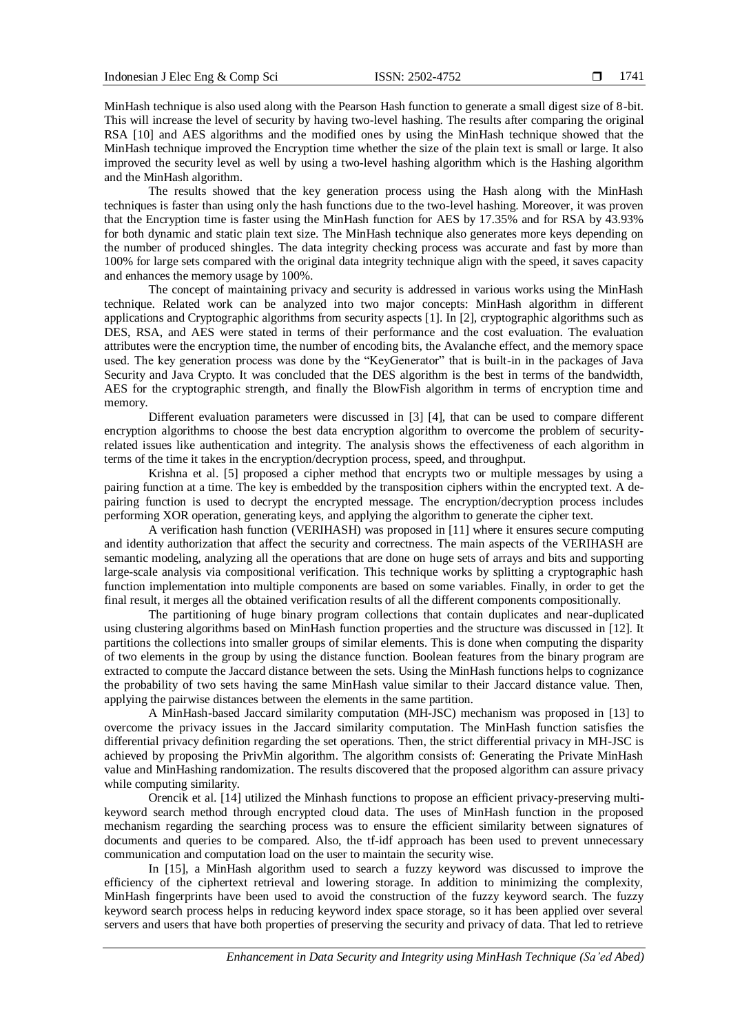MinHash technique is also used along with the Pearson Hash function to generate a small digest size of 8-bit. This will increase the level of security by having two-level hashing. The results after comparing the original RSA [10] and AES algorithms and the modified ones by using the MinHash technique showed that the MinHash technique improved the Encryption time whether the size of the plain text is small or large. It also improved the security level as well by using a two-level hashing algorithm which is the Hashing algorithm and the MinHash algorithm.

The results showed that the key generation process using the Hash along with the MinHash techniques is faster than using only the hash functions due to the two-level hashing. Moreover, it was proven that the Encryption time is faster using the MinHash function for AES by 17.35% and for RSA by 43.93% for both dynamic and static plain text size. The MinHash technique also generates more keys depending on the number of produced shingles. The data integrity checking process was accurate and fast by more than 100% for large sets compared with the original data integrity technique align with the speed, it saves capacity and enhances the memory usage by 100%.

The concept of maintaining privacy and security is addressed in various works using the MinHash technique. Related work can be analyzed into two major concepts: MinHash algorithm in different applications and Cryptographic algorithms from security aspects [1]. In [2], cryptographic algorithms such as DES, RSA, and AES were stated in terms of their performance and the cost evaluation. The evaluation attributes were the encryption time, the number of encoding bits, the Avalanche effect, and the memory space used. The key generation process was done by the "KeyGenerator" that is built-in in the packages of Java Security and Java Crypto. It was concluded that the DES algorithm is the best in terms of the bandwidth, AES for the cryptographic strength, and finally the BlowFish algorithm in terms of encryption time and memory.

Different evaluation parameters were discussed in [3] [4], that can be used to compare different encryption algorithms to choose the best data encryption algorithm to overcome the problem of securityrelated issues like authentication and integrity. The analysis shows the effectiveness of each algorithm in terms of the time it takes in the encryption/decryption process, speed, and throughput.

Krishna et al. [5] proposed a cipher method that encrypts two or multiple messages by using a pairing function at a time. The key is embedded by the transposition ciphers within the encrypted text. A depairing function is used to decrypt the encrypted message. The encryption/decryption process includes performing XOR operation, generating keys, and applying the algorithm to generate the cipher text.

A verification hash function (VERIHASH) was proposed in [11] where it ensures secure computing and identity authorization that affect the security and correctness. The main aspects of the VERIHASH are semantic modeling, analyzing all the operations that are done on huge sets of arrays and bits and supporting large-scale analysis via compositional verification. This technique works by splitting a cryptographic hash function implementation into multiple components are based on some variables. Finally, in order to get the final result, it merges all the obtained verification results of all the different components compositionally.

The partitioning of huge binary program collections that contain duplicates and near-duplicated using clustering algorithms based on MinHash function properties and the structure was discussed in [12]. It partitions the collections into smaller groups of similar elements. This is done when computing the disparity of two elements in the group by using the distance function. Boolean features from the binary program are extracted to compute the Jaccard distance between the sets. Using the MinHash functions helps to cognizance the probability of two sets having the same MinHash value similar to their Jaccard distance value. Then, applying the pairwise distances between the elements in the same partition.

A MinHash-based Jaccard similarity computation (MH-JSC) mechanism was proposed in [13] to overcome the privacy issues in the Jaccard similarity computation. The MinHash function satisfies the differential privacy definition regarding the set operations. Then, the strict differential privacy in MH-JSC is achieved by proposing the PrivMin algorithm. The algorithm consists of: Generating the Private MinHash value and MinHashing randomization. The results discovered that the proposed algorithm can assure privacy while computing similarity.

Orencik et al. [14] utilized the Minhash functions to propose an efficient privacy-preserving multikeyword search method through encrypted cloud data. The uses of MinHash function in the proposed mechanism regarding the searching process was to ensure the efficient similarity between signatures of documents and queries to be compared. Also, the tf-idf approach has been used to prevent unnecessary communication and computation load on the user to maintain the security wise.

In [15], a MinHash algorithm used to search a fuzzy keyword was discussed to improve the efficiency of the ciphertext retrieval and lowering storage. In addition to minimizing the complexity, MinHash fingerprints have been used to avoid the construction of the fuzzy keyword search. The fuzzy keyword search process helps in reducing keyword index space storage, so it has been applied over several servers and users that have both properties of preserving the security and privacy of data. That led to retrieve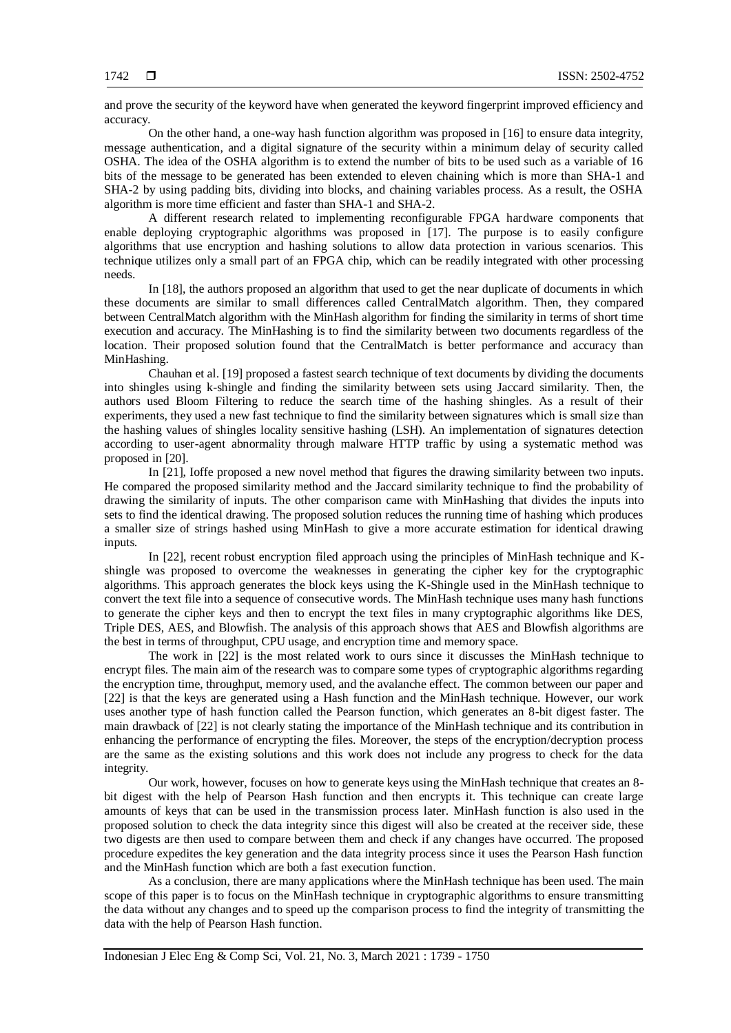and prove the security of the keyword have when generated the keyword fingerprint improved efficiency and accuracy.

On the other hand, a one-way hash function algorithm was proposed in [16] to ensure data integrity, message authentication, and a digital signature of the security within a minimum delay of security called OSHA. The idea of the OSHA algorithm is to extend the number of bits to be used such as a variable of 16 bits of the message to be generated has been extended to eleven chaining which is more than SHA-1 and SHA-2 by using padding bits, dividing into blocks, and chaining variables process. As a result, the OSHA algorithm is more time efficient and faster than SHA-1 and SHA-2.

A different research related to implementing reconfigurable FPGA hardware components that enable deploying cryptographic algorithms was proposed in [17]. The purpose is to easily configure algorithms that use encryption and hashing solutions to allow data protection in various scenarios. This technique utilizes only a small part of an FPGA chip, which can be readily integrated with other processing needs.

In [18], the authors proposed an algorithm that used to get the near duplicate of documents in which these documents are similar to small differences called CentralMatch algorithm. Then, they compared between CentralMatch algorithm with the MinHash algorithm for finding the similarity in terms of short time execution and accuracy. The MinHashing is to find the similarity between two documents regardless of the location. Their proposed solution found that the CentralMatch is better performance and accuracy than MinHashing.

Chauhan et al. [19] proposed a fastest search technique of text documents by dividing the documents into shingles using k-shingle and finding the similarity between sets using Jaccard similarity. Then, the authors used Bloom Filtering to reduce the search time of the hashing shingles. As a result of their experiments, they used a new fast technique to find the similarity between signatures which is small size than the hashing values of shingles locality sensitive hashing (LSH). An implementation of signatures detection according to user-agent abnormality through malware HTTP traffic by using a systematic method was proposed in [20].

In [21], Ioffe proposed a new novel method that figures the drawing similarity between two inputs. He compared the proposed similarity method and the Jaccard similarity technique to find the probability of drawing the similarity of inputs. The other comparison came with MinHashing that divides the inputs into sets to find the identical drawing. The proposed solution reduces the running time of hashing which produces a smaller size of strings hashed using MinHash to give a more accurate estimation for identical drawing inputs.

In [22], recent robust encryption filed approach using the principles of MinHash technique and Kshingle was proposed to overcome the weaknesses in generating the cipher key for the cryptographic algorithms. This approach generates the block keys using the K-Shingle used in the MinHash technique to convert the text file into a sequence of consecutive words. The MinHash technique uses many hash functions to generate the cipher keys and then to encrypt the text files in many cryptographic algorithms like DES, Triple DES, AES, and Blowfish. The analysis of this approach shows that AES and Blowfish algorithms are the best in terms of throughput, CPU usage, and encryption time and memory space.

The work in [22] is the most related work to ours since it discusses the MinHash technique to encrypt files. The main aim of the research was to compare some types of cryptographic algorithms regarding the encryption time, throughput, memory used, and the avalanche effect. The common between our paper and [22] is that the keys are generated using a Hash function and the MinHash technique. However, our work uses another type of hash function called the Pearson function, which generates an 8-bit digest faster. The main drawback of [22] is not clearly stating the importance of the MinHash technique and its contribution in enhancing the performance of encrypting the files. Moreover, the steps of the encryption/decryption process are the same as the existing solutions and this work does not include any progress to check for the data integrity.

Our work, however, focuses on how to generate keys using the MinHash technique that creates an 8 bit digest with the help of Pearson Hash function and then encrypts it. This technique can create large amounts of keys that can be used in the transmission process later. MinHash function is also used in the proposed solution to check the data integrity since this digest will also be created at the receiver side, these two digests are then used to compare between them and check if any changes have occurred. The proposed procedure expedites the key generation and the data integrity process since it uses the Pearson Hash function and the MinHash function which are both a fast execution function.

As a conclusion, there are many applications where the MinHash technique has been used. The main scope of this paper is to focus on the MinHash technique in cryptographic algorithms to ensure transmitting the data without any changes and to speed up the comparison process to find the integrity of transmitting the data with the help of Pearson Hash function.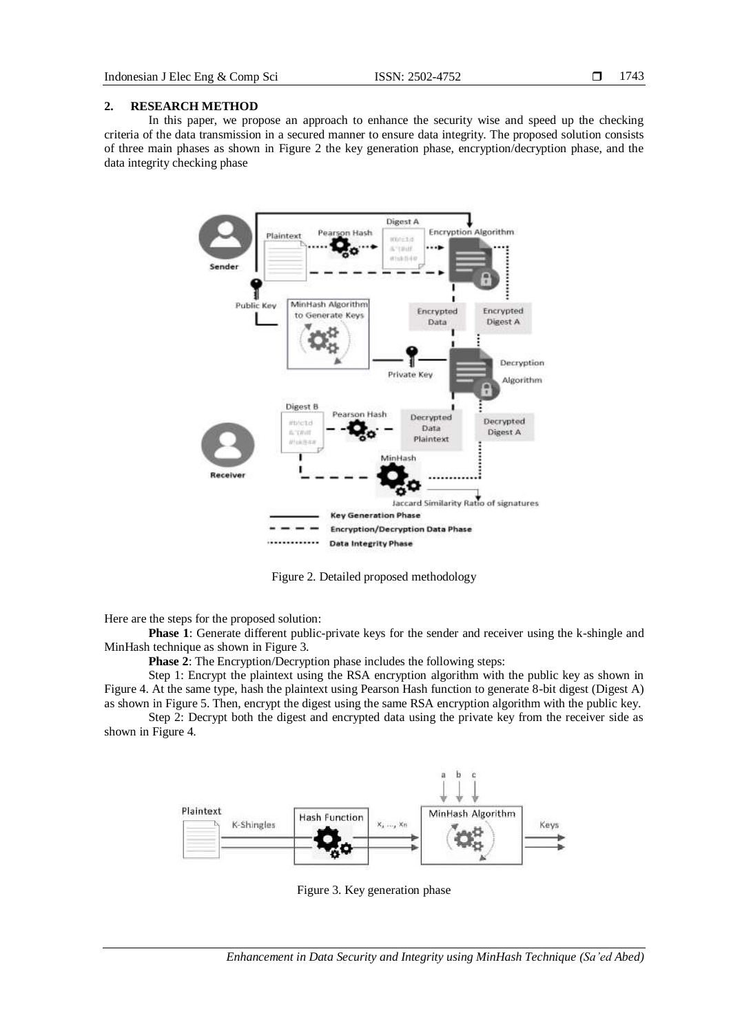#### **2. RESEARCH METHOD**

In this paper, we propose an approach to enhance the security wise and speed up the checking criteria of the data transmission in a secured manner to ensure data integrity. The proposed solution consists of three main phases as shown in Figure 2 the key generation phase, encryption/decryption phase, and the data integrity checking phase



Figure 2. Detailed proposed methodology

Here are the steps for the proposed solution:

**Phase 1**: Generate different public-private keys for the sender and receiver using the k-shingle and MinHash technique as shown in Figure 3.

**Phase 2**: The Encryption/Decryption phase includes the following steps:

Step 1: Encrypt the plaintext using the RSA encryption algorithm with the public key as shown in Figure 4. At the same type, hash the plaintext using Pearson Hash function to generate 8-bit digest (Digest A) as shown in Figure 5. Then, encrypt the digest using the same RSA encryption algorithm with the public key.

Step 2: Decrypt both the digest and encrypted data using the private key from the receiver side as shown in Figure 4.



Figure 3. Key generation phase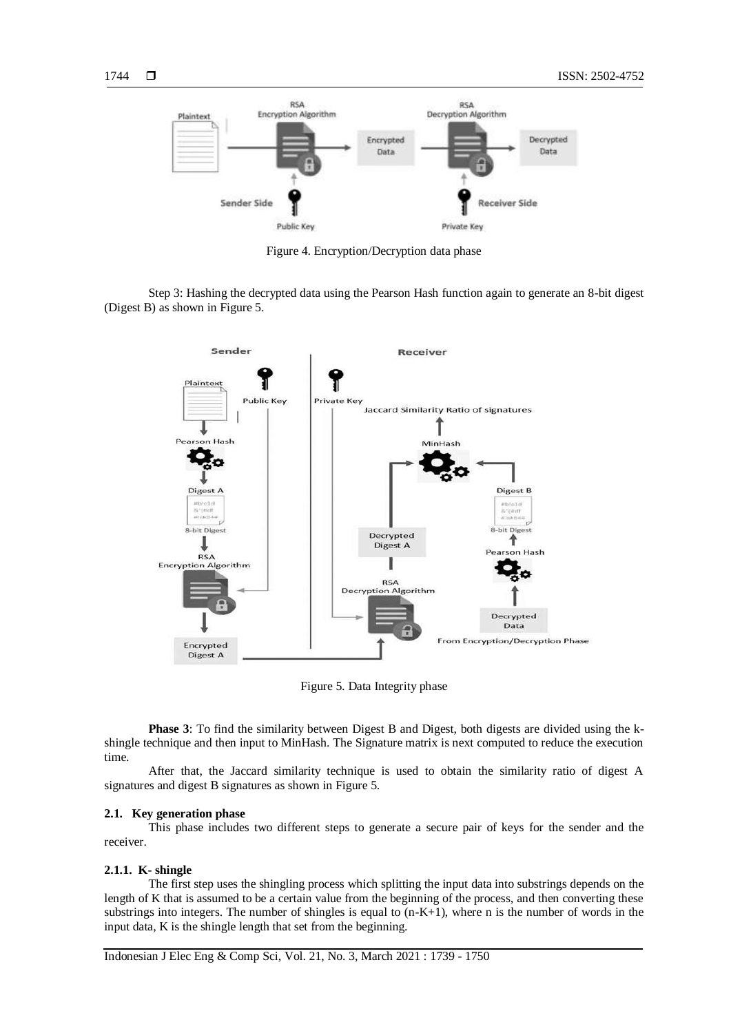

Figure 4. Encryption/Decryption data phase

Step 3: Hashing the decrypted data using the Pearson Hash function again to generate an 8-bit digest (Digest B) as shown in Figure 5.



Figure 5. Data Integrity phase

**Phase 3**: To find the similarity between Digest B and Digest, both digests are divided using the kshingle technique and then input to MinHash. The Signature matrix is next computed to reduce the execution time.

After that, the Jaccard similarity technique is used to obtain the similarity ratio of digest A signatures and digest B signatures as shown in Figure 5.

#### **2.1. Key generation phase**

This phase includes two different steps to generate a secure pair of keys for the sender and the receiver.

#### **2.1.1. K- shingle**

The first step uses the shingling process which splitting the input data into substrings depends on the length of K that is assumed to be a certain value from the beginning of the process, and then converting these substrings into integers. The number of shingles is equal to  $(n-K+1)$ , where n is the number of words in the input data, K is the shingle length that set from the beginning.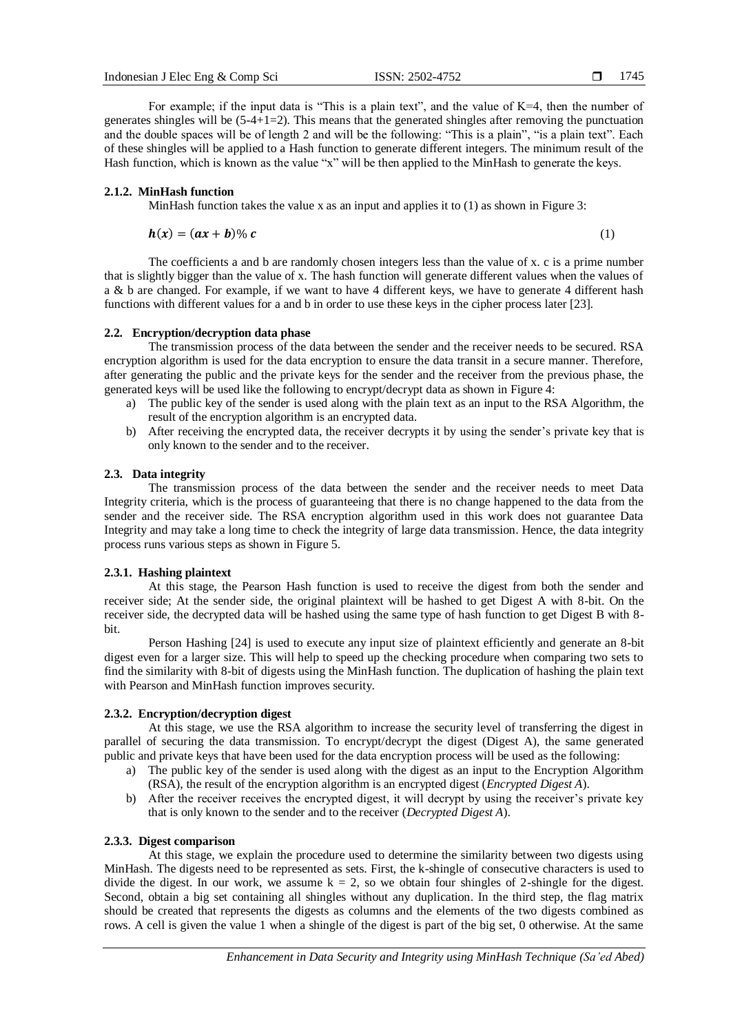For example; if the input data is "This is a plain text", and the value of  $K=4$ , then the number of generates shingles will be  $(5-4+1=2)$ . This means that the generated shingles after removing the punctuation and the double spaces will be of length 2 and will be the following: "This is a plain", "is a plain text". Each of these shingles will be applied to a Hash function to generate different integers. The minimum result of the Hash function, which is known as the value "x" will be then applied to the MinHash to generate the keys.

# **2.1.2. MinHash function**

MinHash function takes the value x as an input and applies it to  $(1)$  as shown in Figure 3:

$$
h(x) = (ax + b)\%c \tag{1}
$$

The coefficients a and b are randomly chosen integers less than the value of x. c is a prime number that is slightly bigger than the value of x. The hash function will generate different values when the values of a & b are changed. For example, if we want to have 4 different keys, we have to generate 4 different hash functions with different values for a and b in order to use these keys in the cipher process later [23].

# **2.2. Encryption/decryption data phase**

The transmission process of the data between the sender and the receiver needs to be secured. RSA encryption algorithm is used for the data encryption to ensure the data transit in a secure manner. Therefore, after generating the public and the private keys for the sender and the receiver from the previous phase, the generated keys will be used like the following to encrypt/decrypt data as shown in Figure 4:

- a) The public key of the sender is used along with the plain text as an input to the RSA Algorithm, the result of the encryption algorithm is an encrypted data.
- b) After receiving the encrypted data, the receiver decrypts it by using the sender's private key that is only known to the sender and to the receiver.

### **2.3. Data integrity**

The transmission process of the data between the sender and the receiver needs to meet Data Integrity criteria, which is the process of guaranteeing that there is no change happened to the data from the sender and the receiver side. The RSA encryption algorithm used in this work does not guarantee Data Integrity and may take a long time to check the integrity of large data transmission. Hence, the data integrity process runs various steps as shown in Figure 5.

# **2.3.1. Hashing plaintext**

At this stage, the Pearson Hash function is used to receive the digest from both the sender and receiver side; At the sender side, the original plaintext will be hashed to get Digest A with 8-bit. On the receiver side, the decrypted data will be hashed using the same type of hash function to get Digest B with 8 bit.

Person Hashing [24] is used to execute any input size of plaintext efficiently and generate an 8-bit digest even for a larger size. This will help to speed up the checking procedure when comparing two sets to find the similarity with 8-bit of digests using the MinHash function. The duplication of hashing the plain text with Pearson and MinHash function improves security.

### **2.3.2. Encryption/decryption digest**

At this stage, we use the RSA algorithm to increase the security level of transferring the digest in parallel of securing the data transmission. To encrypt/decrypt the digest (Digest A), the same generated public and private keys that have been used for the data encryption process will be used as the following:

- a) The public key of the sender is used along with the digest as an input to the Encryption Algorithm (RSA), the result of the encryption algorithm is an encrypted digest (*Encrypted Digest A*).
- b) After the receiver receives the encrypted digest, it will decrypt by using the receiver's private key that is only known to the sender and to the receiver (*Decrypted Digest A*).

# **2.3.3. Digest comparison**

At this stage, we explain the procedure used to determine the similarity between two digests using MinHash. The digests need to be represented as sets. First, the k-shingle of consecutive characters is used to divide the digest. In our work, we assume  $k = 2$ , so we obtain four shingles of 2-shingle for the digest. Second, obtain a big set containing all shingles without any duplication. In the third step, the flag matrix should be created that represents the digests as columns and the elements of the two digests combined as rows. A cell is given the value 1 when a shingle of the digest is part of the big set, 0 otherwise. At the same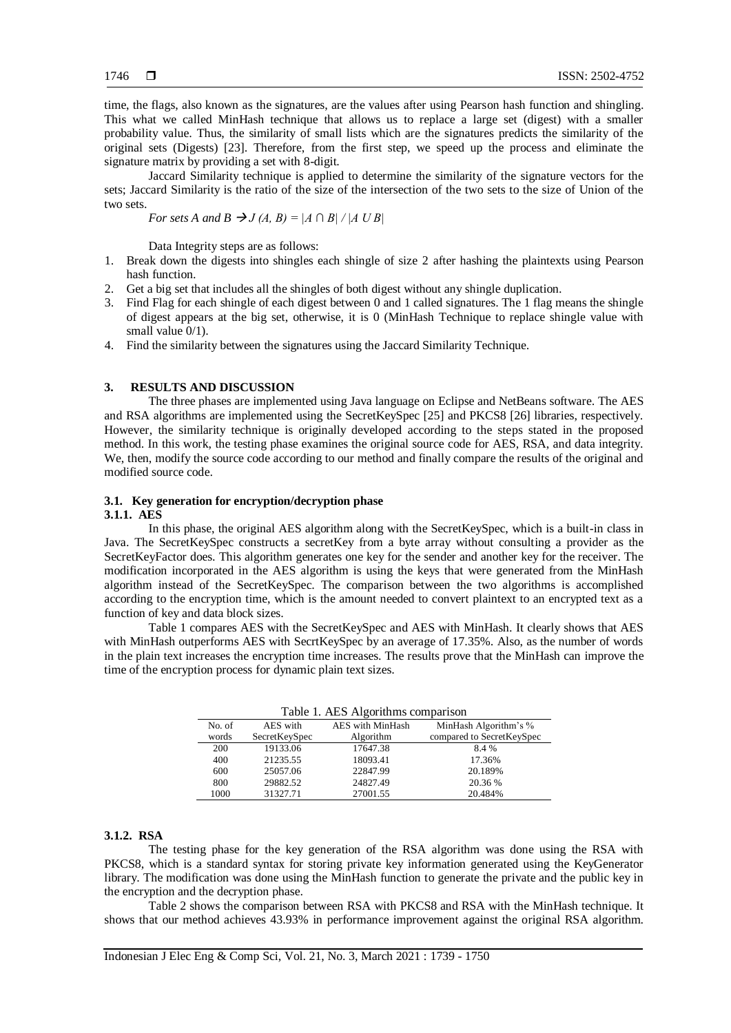time, the flags, also known as the signatures, are the values after using Pearson hash function and shingling. This what we called MinHash technique that allows us to replace a large set (digest) with a smaller probability value. Thus, the similarity of small lists which are the signatures predicts the similarity of the original sets (Digests) [23]. Therefore, from the first step, we speed up the process and eliminate the signature matrix by providing a set with 8-digit.

Jaccard Similarity technique is applied to determine the similarity of the signature vectors for the sets; Jaccard Similarity is the ratio of the size of the intersection of the two sets to the size of Union of the two sets.

*For sets A and B*  $\rightarrow$  *J (A, B)* = |A  $\cap$  B| / |A U B|

Data Integrity steps are as follows:

- 1. Break down the digests into shingles each shingle of size 2 after hashing the plaintexts using Pearson hash function.
- 2. Get a big set that includes all the shingles of both digest without any shingle duplication.
- 3. Find Flag for each shingle of each digest between 0 and 1 called signatures. The 1 flag means the shingle of digest appears at the big set, otherwise, it is 0 (MinHash Technique to replace shingle value with small value  $0/1$ ).
- 4. Find the similarity between the signatures using the Jaccard Similarity Technique.

# **3. RESULTS AND DISCUSSION**

The three phases are implemented using Java language on Eclipse and NetBeans software. The AES and RSA algorithms are implemented using the SecretKeySpec [25] and PKCS8 [26] libraries, respectively. However, the similarity technique is originally developed according to the steps stated in the proposed method. In this work, the testing phase examines the original source code for AES, RSA, and data integrity. We, then, modify the source code according to our method and finally compare the results of the original and modified source code.

# **3.1. Key generation for encryption/decryption phase**

#### **3.1.1. AES**

In this phase, the original AES algorithm along with the SecretKeySpec, which is a built-in class in Java. The SecretKeySpec constructs a secretKey from a byte array without consulting a provider as the SecretKeyFactor does. This algorithm generates one key for the sender and another key for the receiver. The modification incorporated in the AES algorithm is using the keys that were generated from the MinHash algorithm instead of the SecretKeySpec. The comparison between the two algorithms is accomplished according to the encryption time, which is the amount needed to convert plaintext to an encrypted text as a function of key and data block sizes.

Table 1 compares AES with the SecretKeySpec and AES with MinHash. It clearly shows that AES with MinHash outperforms AES with SecrtKeySpec by an average of 17.35%. Also, as the number of words in the plain text increases the encryption time increases. The results prove that the MinHash can improve the time of the encryption process for dynamic plain text sizes.

| Table 1. AES Algorithms comparison |               |                  |                           |
|------------------------------------|---------------|------------------|---------------------------|
| No. of                             | AES with      | AES with MinHash | MinHash Algorithm's %     |
| words                              | SecretKeySpec | Algorithm        | compared to SecretKeySpec |
| 200                                | 19133.06      | 17647.38         | 8.4 %                     |
| 400                                | 21235.55      | 18093.41         | 17.36%                    |
| 600                                | 25057.06      | 22847.99         | 20.189%                   |
| 800                                | 29882.52      | 24827.49         | 20.36 %                   |
| 1000                               | 31327.71      | 27001.55         | 20.484%                   |

 $T_{\rm eff}$  1. 1.  $\Lambda$ ES  $\Lambda$ 1.  $\omega$  ideas

#### **3.1.2. RSA**

The testing phase for the key generation of the RSA algorithm was done using the RSA with PKCS8, which is a standard syntax for storing private key information generated using the KeyGenerator library. The modification was done using the MinHash function to generate the private and the public key in the encryption and the decryption phase.

Table 2 shows the comparison between RSA with PKCS8 and RSA with the MinHash technique. It shows that our method achieves 43.93% in performance improvement against the original RSA algorithm.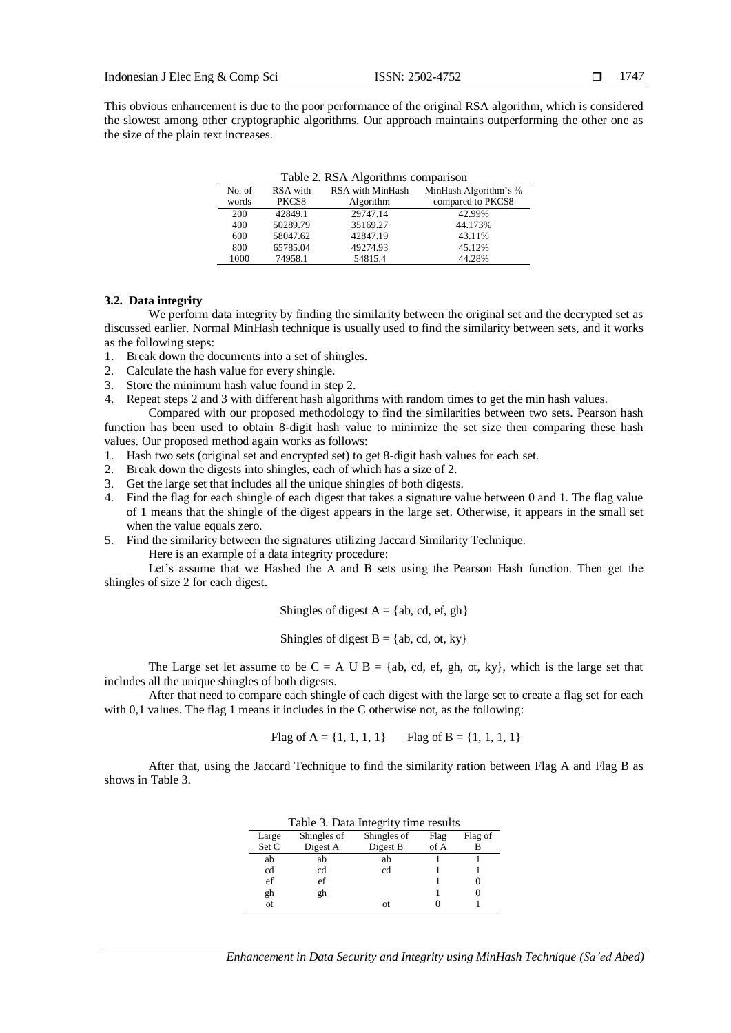This obvious enhancement is due to the poor performance of the original RSA algorithm, which is considered the slowest among other cryptographic algorithms. Our approach maintains outperforming the other one as the size of the plain text increases.

| Table 2. RSA Algorithms comparison |          |                  |                       |  |
|------------------------------------|----------|------------------|-----------------------|--|
| No. of                             | RSA with | RSA with MinHash | MinHash Algorithm's % |  |
| words                              | PKCS8    | Algorithm        | compared to PKCS8     |  |
| 200                                | 42849.1  | 29747.14         | 42.99%                |  |
| 400                                | 50289.79 | 35169.27         | 44.173%               |  |
| 600                                | 58047.62 | 42847.19         | 43.11%                |  |
| 800                                | 65785.04 | 49274.93         | 45.12%                |  |
| 1000                               | 74958.1  | 54815.4          | 44.28%                |  |

Table 2. RSA Algorithms comparison

#### **3.2. Data integrity**

We perform data integrity by finding the similarity between the original set and the decrypted set as discussed earlier. Normal MinHash technique is usually used to find the similarity between sets, and it works as the following steps:

- 1. Break down the documents into a set of shingles.
- 2. Calculate the hash value for every shingle.
- 3. Store the minimum hash value found in step 2.
- 4. Repeat steps 2 and 3 with different hash algorithms with random times to get the min hash values.

Compared with our proposed methodology to find the similarities between two sets. Pearson hash function has been used to obtain 8-digit hash value to minimize the set size then comparing these hash values. Our proposed method again works as follows:

- 1. Hash two sets (original set and encrypted set) to get 8-digit hash values for each set.
- 2. Break down the digests into shingles, each of which has a size of 2.
- 3. Get the large set that includes all the unique shingles of both digests.
- 4. Find the flag for each shingle of each digest that takes a signature value between 0 and 1. The flag value of 1 means that the shingle of the digest appears in the large set. Otherwise, it appears in the small set when the value equals zero.
- 5. Find the similarity between the signatures utilizing Jaccard Similarity Technique.

Here is an example of a data integrity procedure:

Let's assume that we Hashed the A and B sets using the Pearson Hash function. Then get the shingles of size 2 for each digest.

Shingles of digest  $A = \{ab, cd, ef, gh\}$ 

Shingles of digest  $B = \{ab, cd, ot, ky\}$ 

The Large set let assume to be  $C = A \cup B = \{ab, cd, ef, gh, ot, ky\}$ , which is the large set that includes all the unique shingles of both digests.

After that need to compare each shingle of each digest with the large set to create a flag set for each with 0,1 values. The flag 1 means it includes in the C otherwise not, as the following:

Flag of  $A = \{1, 1, 1, 1\}$  Flag of  $B = \{1, 1, 1, 1\}$ 

After that, using the Jaccard Technique to find the similarity ration between Flag A and Flag B as shows in Table 3.

| I able 3. Data Integrity time results |       |             |             |      |         |
|---------------------------------------|-------|-------------|-------------|------|---------|
|                                       | Large | Shingles of | Shingles of | Flag | Flag of |
|                                       | Set C | Digest A    | Digest B    | of A |         |
|                                       | ab    | ab          | ab          |      |         |
|                                       | cd    | cd          | cd          |      |         |
|                                       | ef    | ef          |             |      |         |
|                                       | gh    | gh          |             |      |         |

ot  $\qquad \qquad 0 \qquad \qquad 1$ 

 $T_{\rm{eff}}$  3.  $\sigma$   $D_{\rm{eff}}$   $T_{\rm{eff}}$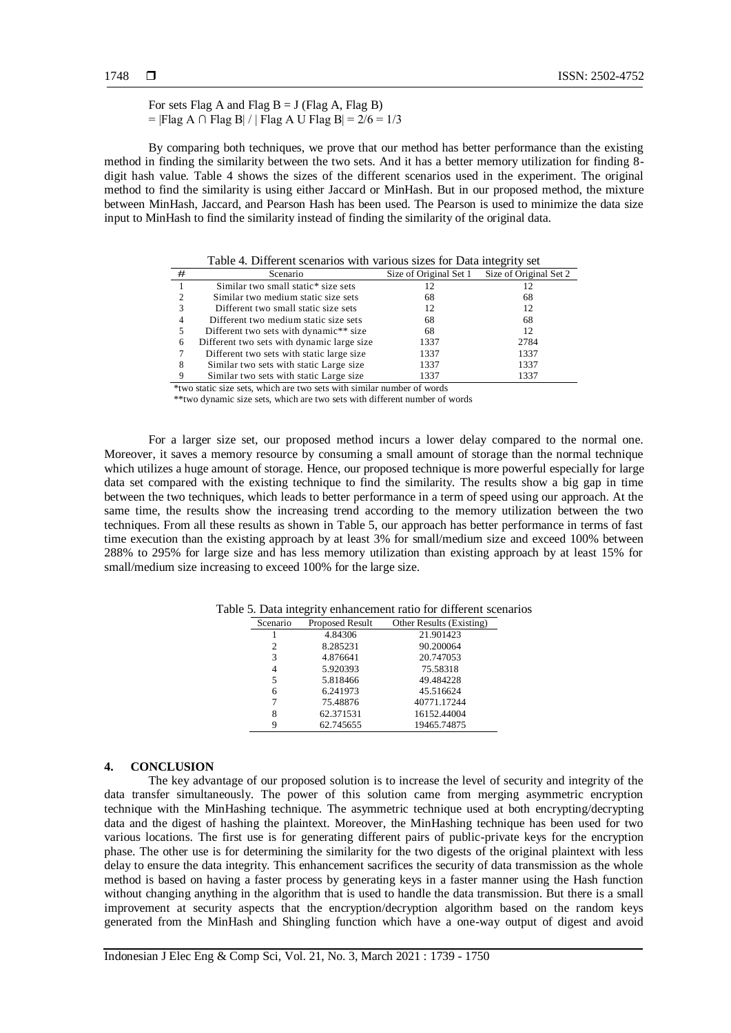For sets Flag A and Flag  $B = J$  (Flag A, Flag B) = |Flag A ∩ Flag B| / | Flag A U Flag B| = 2/6 = 1/3

By comparing both techniques, we prove that our method has better performance than the existing method in finding the similarity between the two sets. And it has a better memory utilization for finding 8 digit hash value. Table 4 shows the sizes of the different scenarios used in the experiment. The original method to find the similarity is using either Jaccard or MinHash. But in our proposed method, the mixture between MinHash, Jaccard, and Pearson Hash has been used. The Pearson is used to minimize the data size input to MinHash to find the similarity instead of finding the similarity of the original data.

|   | Table 4. Different scenarios with various sizes for Data integrity set |                        |                        |  |
|---|------------------------------------------------------------------------|------------------------|------------------------|--|
| # | Scenario                                                               | Size of Original Set 1 | Size of Original Set 2 |  |
|   | Similar two small static* size sets                                    | 12                     |                        |  |
|   | Similar two medium static size sets                                    | 68                     | 68                     |  |
|   | Different two small static size sets                                   | 12                     | 12                     |  |
|   | Different two medium static size sets                                  | 68                     | 68                     |  |
|   | Different two sets with dynamic** size                                 | 68                     | 12.                    |  |
| 6 | Different two sets with dynamic large size                             | 1337                   | 2784                   |  |
|   | Different two sets with static large size                              | 1337                   | 1337                   |  |
|   | Similar two sets with static Large size                                | 1337                   | 1337                   |  |
|   | Similar two sets with static Large size                                | 1337                   | 1337                   |  |

\*two static size sets, which are two sets with similar number of words

\*\*two dynamic size sets, which are two sets with different number of words

For a larger size set, our proposed method incurs a lower delay compared to the normal one. Moreover, it saves a memory resource by consuming a small amount of storage than the normal technique which utilizes a huge amount of storage. Hence, our proposed technique is more powerful especially for large data set compared with the existing technique to find the similarity. The results show a big gap in time between the two techniques, which leads to better performance in a term of speed using our approach. At the same time, the results show the increasing trend according to the memory utilization between the two techniques. From all these results as shown in Table 5, our approach has better performance in terms of fast time execution than the existing approach by at least 3% for small/medium size and exceed 100% between 288% to 295% for large size and has less memory utilization than existing approach by at least 15% for small/medium size increasing to exceed 100% for the large size.

| Scenario | Proposed Result | Other Results (Existing) |
|----------|-----------------|--------------------------|
|          | 4.84306         | 21.901423                |
| 2        | 8.285231        | 90.200064                |
| 3        | 4.876641        | 20.747053                |
| 4        | 5.920393        | 75.58318                 |
| 5        | 5.818466        | 49.484228                |
| 6        | 6.241973        | 45.516624                |
|          | 75.48876        | 40771.17244              |
| 8        | 62.371531       | 16152.44004              |
| q        | 62.745655       | 19465.74875              |

Table 5. Data integrity enhancement ratio for different scenarios

#### **4. CONCLUSION**

The key advantage of our proposed solution is to increase the level of security and integrity of the data transfer simultaneously. The power of this solution came from merging asymmetric encryption technique with the MinHashing technique. The asymmetric technique used at both encrypting/decrypting data and the digest of hashing the plaintext. Moreover, the MinHashing technique has been used for two various locations. The first use is for generating different pairs of public-private keys for the encryption phase. The other use is for determining the similarity for the two digests of the original plaintext with less delay to ensure the data integrity. This enhancement sacrifices the security of data transmission as the whole method is based on having a faster process by generating keys in a faster manner using the Hash function without changing anything in the algorithm that is used to handle the data transmission. But there is a small improvement at security aspects that the encryption/decryption algorithm based on the random keys generated from the MinHash and Shingling function which have a one-way output of digest and avoid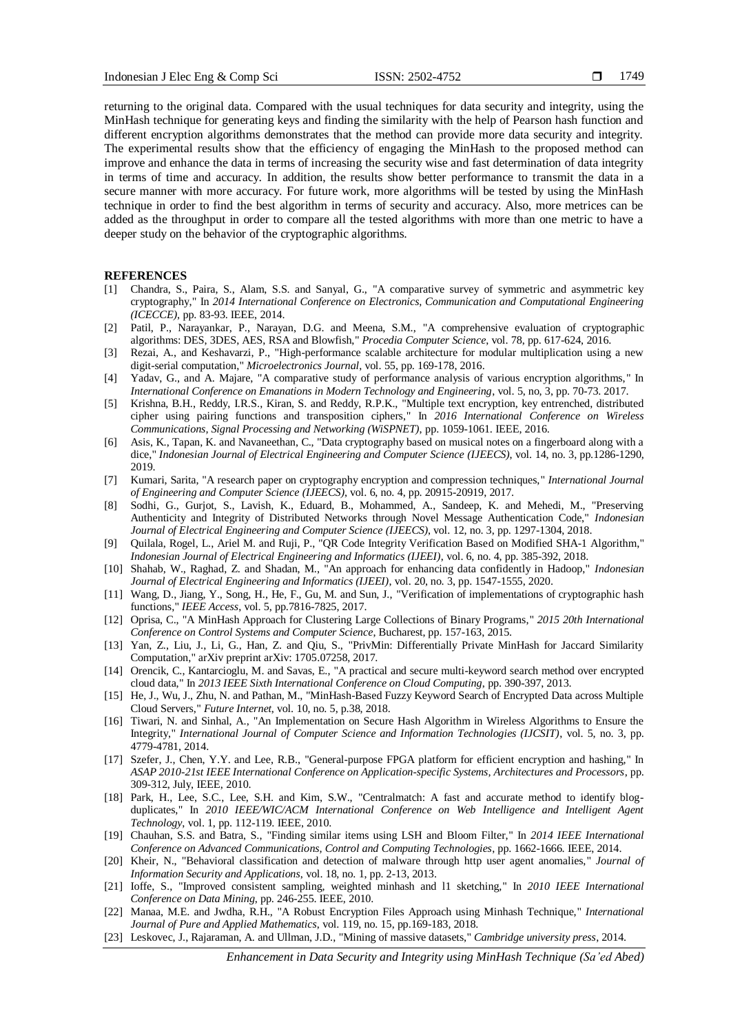returning to the original data. Compared with the usual techniques for data security and integrity, using the MinHash technique for generating keys and finding the similarity with the help of Pearson hash function and different encryption algorithms demonstrates that the method can provide more data security and integrity. The experimental results show that the efficiency of engaging the MinHash to the proposed method can improve and enhance the data in terms of increasing the security wise and fast determination of data integrity in terms of time and accuracy. In addition, the results show better performance to transmit the data in a secure manner with more accuracy. For future work, more algorithms will be tested by using the MinHash technique in order to find the best algorithm in terms of security and accuracy. Also, more metrices can be added as the throughput in order to compare all the tested algorithms with more than one metric to have a deeper study on the behavior of the cryptographic algorithms.

#### **REFERENCES**

- [1] Chandra, S., Paira, S., Alam, S.S. and Sanyal, G., "A comparative survey of symmetric and asymmetric key cryptography," In *2014 International Conference on Electronics, Communication and Computational Engineering (ICECCE)*, pp. 83-93. IEEE, 2014.
- [2] Patil, P., Narayankar, P., Narayan, D.G. and Meena, S.M., "A comprehensive evaluation of cryptographic algorithms: DES, 3DES, AES, RSA and Blowfish," *Procedia Computer Science*, vol. 78, pp. 617-624, 2016.
- [3] Rezai, A., and Keshavarzi, P., "High-performance scalable architecture for modular multiplication using a new digit-serial computation," *Microelectronics Journal*, vol. 55, pp. 169-178, 2016.
- [4] Yadav, G., and A. Majare, "A comparative study of performance analysis of various encryption algorithms," In *International Conference on Emanations in Modern Technology and Engineering*, vol. 5, no, 3, pp. 70-73. 2017.
- [5] Krishna, B.H., Reddy, I.R.S., Kiran, S. and Reddy, R.P.K., "Multiple text encryption, key entrenched, distributed cipher using pairing functions and transposition ciphers," In *2016 International Conference on Wireless Communications, Signal Processing and Networking (WiSPNET)*, pp. 1059-1061. IEEE, 2016.
- [6] Asis, K., Tapan, K. and Navaneethan, C., "Data cryptography based on musical notes on a fingerboard along with a dice," *Indonesian Journal of Electrical Engineering and Computer Science (IJEECS)*, vol. 14, no. 3, pp.1286-1290, 2019.
- [7] Kumari, Sarita, "A research paper on cryptography encryption and compression techniques," *International Journal of Engineering and Computer Science (IJEECS)*, vol. 6, no. 4, pp. 20915-20919, 2017.
- [8] Sodhi, G., Gurjot, S., Lavish, K., Eduard, B., Mohammed, A., Sandeep, K. and Mehedi, M., "Preserving Authenticity and Integrity of Distributed Networks through Novel Message Authentication Code," *Indonesian Journal of Electrical Engineering and Computer Science (IJEECS)*, vol. 12, no. 3, pp. 1297-1304, 2018.
- [9] Quilala, Rogel, L., Ariel M. and Ruji, P., "QR Code Integrity Verification Based on Modified SHA-1 Algorithm," *Indonesian Journal of Electrical Engineering and Informatics (IJEEI)*, vol. 6, no. 4, pp. 385-392, 2018.
- [10] Shahab, W., Raghad, Z. and Shadan, M., "An approach for enhancing data confidently in Hadoop," *Indonesian Journal of Electrical Engineering and Informatics (IJEEI)*, vol. 20, no. 3, pp. 1547-1555, 2020.
- [11] Wang, D., Jiang, Y., Song, H., He, F., Gu, M. and Sun, J., "Verification of implementations of cryptographic hash functions," *IEEE Access*, vol. 5, pp.7816-7825, 2017.
- [12] Oprisa, C., "A MinHash Approach for Clustering Large Collections of Binary Programs," *2015 20th International Conference on Control Systems and Computer Science*, Bucharest, pp. 157-163, 2015.
- [13] Yan, Z., Liu, J., Li, G., Han, Z. and Qiu, S., "PrivMin: Differentially Private MinHash for Jaccard Similarity Computation," arXiv preprint arXiv: 1705.07258, 2017.
- [14] Orencik, C., Kantarcioglu, M. and Savas, E., "A practical and secure multi-keyword search method over encrypted cloud data," In *2013 IEEE Sixth International Conference on Cloud Computing*, pp. 390-397, 2013.
- [15] He, J., Wu, J., Zhu, N. and Pathan, M., "MinHash-Based Fuzzy Keyword Search of Encrypted Data across Multiple Cloud Servers," *Future Internet*, vol. 10, no. 5, p.38, 2018.
- [16] Tiwari, N. and Sinhal, A., "An Implementation on Secure Hash Algorithm in Wireless Algorithms to Ensure the Integrity," *International Journal of Computer Science and Information Technologies (IJCSIT)*, vol. 5, no. 3, pp. 4779-4781, 2014.
- [17] Szefer, J., Chen, Y.Y. and Lee, R.B., "General-purpose FPGA platform for efficient encryption and hashing," In *ASAP 2010-21st IEEE International Conference on Application-specific Systems, Architectures and Processors*, pp. 309-312, July, IEEE, 2010.
- [18] Park, H., Lee, S.C., Lee, S.H. and Kim, S.W., "Centralmatch: A fast and accurate method to identify blogduplicates," In *2010 IEEE/WIC/ACM International Conference on Web Intelligence and Intelligent Agent Technology*, vol. 1, pp. 112-119. IEEE, 2010.
- [19] Chauhan, S.S. and Batra, S., "Finding similar items using LSH and Bloom Filter," In *2014 IEEE International Conference on Advanced Communications, Control and Computing Technologies*, pp. 1662-1666. IEEE, 2014.
- [20] Kheir, N., "Behavioral classification and detection of malware through http user agent anomalies," *Journal of Information Security and Applications*, vol. 18, no. 1, pp. 2-13, 2013.
- [21] Ioffe, S., "Improved consistent sampling, weighted minhash and l1 sketching," In *2010 IEEE International Conference on Data Mining*, pp. 246-255. IEEE, 2010.
- [22] Manaa, M.E. and Jwdha, R.H., "A Robust Encryption Files Approach using Minhash Technique," *International Journal of Pure and Applied Mathematics*, vol. 119, no. 15, pp.169-183, 2018.
- [23] Leskovec, J., Rajaraman, A. and Ullman, J.D., "Mining of massive datasets," *Cambridge university press*, 2014.